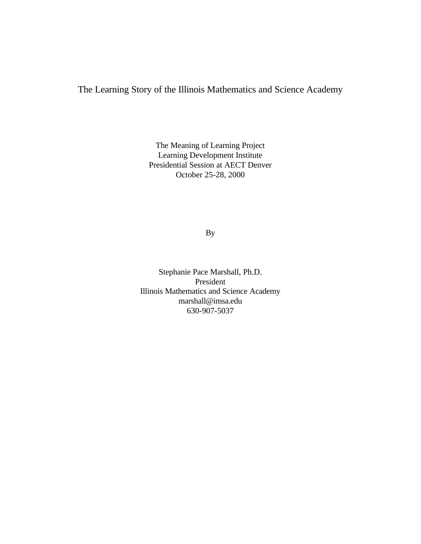The Learning Story of the Illinois Mathematics and Science Academy

The Meaning of Learning Project Learning Development Institute Presidential Session at AECT Denver October 25-28, 2000

By

Stephanie Pace Marshall, Ph.D. President Illinois Mathematics and Science Academy marshall@imsa.edu 630-907-5037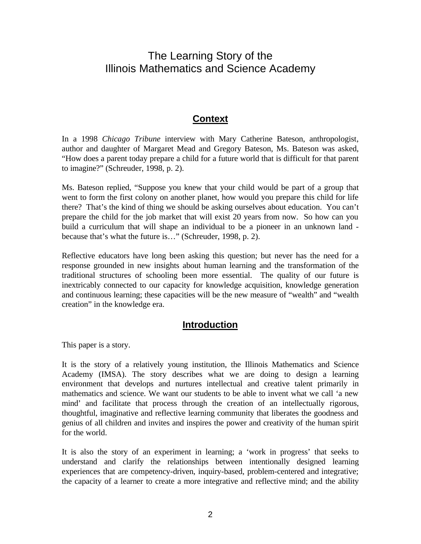## The Learning Story of the Illinois Mathematics and Science Academy

## **Context**

In a 1998 *Chicago Tribune* interview with Mary Catherine Bateson, anthropologist, author and daughter of Margaret Mead and Gregory Bateson, Ms. Bateson was asked, "How does a parent today prepare a child for a future world that is difficult for that parent to imagine?" (Schreuder, 1998, p. 2).

Ms. Bateson replied, "Suppose you knew that your child would be part of a group that went to form the first colony on another planet, how would you prepare this child for life there? That's the kind of thing we should be asking ourselves about education. You can't prepare the child for the job market that will exist 20 years from now. So how can you build a curriculum that will shape an individual to be a pioneer in an unknown land because that's what the future is…" (Schreuder, 1998, p. 2).

Reflective educators have long been asking this question; but never has the need for a response grounded in new insights about human learning and the transformation of the traditional structures of schooling been more essential. The quality of our future is inextricably connected to our capacity for knowledge acquisition, knowledge generation and continuous learning; these capacities will be the new measure of "wealth" and "wealth creation" in the knowledge era.

## **Introduction**

This paper is a story.

It is the story of a relatively young institution, the Illinois Mathematics and Science Academy (IMSA). The story describes what we are doing to design a learning environment that develops and nurtures intellectual and creative talent primarily in mathematics and science. We want our students to be able to invent what we call 'a new mind' and facilitate that process through the creation of an intellectually rigorous, thoughtful, imaginative and reflective learning community that liberates the goodness and genius of all children and invites and inspires the power and creativity of the human spirit for the world.

It is also the story of an experiment in learning; a 'work in progress' that seeks to understand and clarify the relationships between intentionally designed learning experiences that are competency-driven, inquiry-based, problem-centered and integrative; the capacity of a learner to create a more integrative and reflective mind; and the ability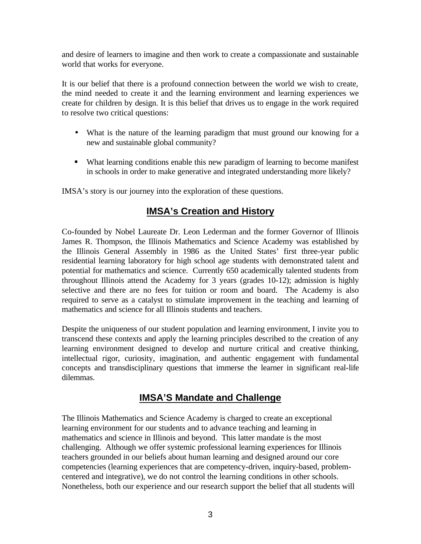and desire of learners to imagine and then work to create a compassionate and sustainable world that works for everyone.

It is our belief that there is a profound connection between the world we wish to create, the mind needed to create it and the learning environment and learning experiences we create for children by design. It is this belief that drives us to engage in the work required to resolve two critical questions:

- What is the nature of the learning paradigm that must ground our knowing for a new and sustainable global community?
- What learning conditions enable this new paradigm of learning to become manifest in schools in order to make generative and integrated understanding more likely?

IMSA's story is our journey into the exploration of these questions.

## **IMSA's Creation and History**

Co-founded by Nobel Laureate Dr. Leon Lederman and the former Governor of Illinois James R. Thompson, the Illinois Mathematics and Science Academy was established by the Illinois General Assembly in 1986 as the United States' first three-year public residential learning laboratory for high school age students with demonstrated talent and potential for mathematics and science. Currently 650 academically talented students from throughout Illinois attend the Academy for 3 years (grades 10-12); admission is highly selective and there are no fees for tuition or room and board. The Academy is also required to serve as a catalyst to stimulate improvement in the teaching and learning of mathematics and science for all Illinois students and teachers.

Despite the uniqueness of our student population and learning environment, I invite you to transcend these contexts and apply the learning principles described to the creation of any learning environment designed to develop and nurture critical and creative thinking, intellectual rigor, curiosity, imagination, and authentic engagement with fundamental concepts and transdisciplinary questions that immerse the learner in significant real-life dilemmas.

## **IMSA'S Mandate and Challenge**

The Illinois Mathematics and Science Academy is charged to create an exceptional learning environment for our students and to advance teaching and learning in mathematics and science in Illinois and beyond. This latter mandate is the most challenging. Although we offer systemic professional learning experiences for Illinois teachers grounded in our beliefs about human learning and designed around our core competencies (learning experiences that are competency-driven, inquiry-based, problemcentered and integrative), we do not control the learning conditions in other schools. Nonetheless, both our experience and our research support the belief that all students will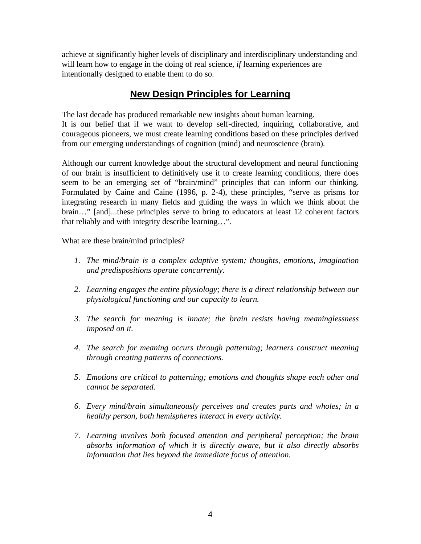achieve at significantly higher levels of disciplinary and interdisciplinary understanding and will learn how to engage in the doing of real science, *if* learning experiences are intentionally designed to enable them to do so.

## **New Design Principles for Learning**

The last decade has produced remarkable new insights about human learning. It is our belief that if we want to develop self-directed, inquiring, collaborative, and courageous pioneers, we must create learning conditions based on these principles derived from our emerging understandings of cognition (mind) and neuroscience (brain).

Although our current knowledge about the structural development and neural functioning of our brain is insufficient to definitively use it to create learning conditions, there does seem to be an emerging set of "brain/mind" principles that can inform our thinking. Formulated by Caine and Caine (1996, p. 2-4), these principles, "serve as prisms for integrating research in many fields and guiding the ways in which we think about the brain…" [and]...these principles serve to bring to educators at least 12 coherent factors that reliably and with integrity describe learning…".

What are these brain/mind principles?

- *1. The mind/brain is a complex adaptive system; thoughts, emotions, imagination and predispositions operate concurrently.*
- *2. Learning engages the entire physiology; there is a direct relationship between our physiological functioning and our capacity to learn.*
- *3. The search for meaning is innate; the brain resists having meaninglessness imposed on it.*
- *4. The search for meaning occurs through patterning; learners construct meaning through creating patterns of connections.*
- *5. Emotions are critical to patterning; emotions and thoughts shape each other and cannot be separated.*
- *6. Every mind/brain simultaneously perceives and creates parts and wholes; in a healthy person, both hemispheres interact in every activity.*
- *7. Learning involves both focused attention and peripheral perception; the brain absorbs information of which it is directly aware, but it also directly absorbs information that lies beyond the immediate focus of attention.*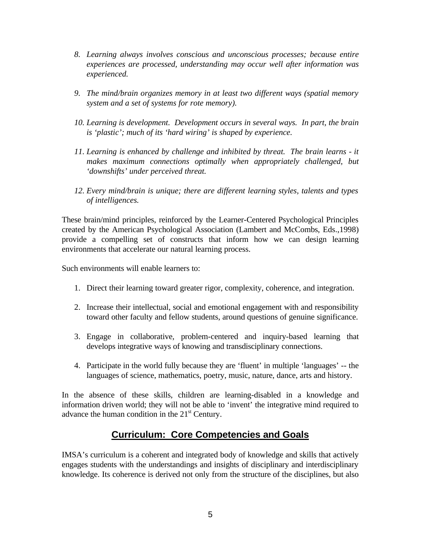- *8. Learning always involves conscious and unconscious processes; because entire experiences are processed, understanding may occur well after information was experienced.*
- *9. The mind/brain organizes memory in at least two different ways (spatial memory system and a set of systems for rote memory).*
- *10. Learning is development. Development occurs in several ways. In part, the brain is 'plastic'; much of its 'hard wiring' is shaped by experience.*
- *11. Learning is enhanced by challenge and inhibited by threat. The brain learns it makes maximum connections optimally when appropriately challenged, but 'downshifts' under perceived threat.*
- *12. Every mind/brain is unique; there are different learning styles, talents and types of intelligences.*

These brain/mind principles, reinforced by the Learner-Centered Psychological Principles created by the American Psychological Association (Lambert and McCombs, Eds.,1998) provide a compelling set of constructs that inform how we can design learning environments that accelerate our natural learning process.

Such environments will enable learners to:

- 1. Direct their learning toward greater rigor, complexity, coherence, and integration.
- 2. Increase their intellectual, social and emotional engagement with and responsibility toward other faculty and fellow students, around questions of genuine significance.
- 3. Engage in collaborative, problem-centered and inquiry-based learning that develops integrative ways of knowing and transdisciplinary connections.
- 4. Participate in the world fully because they are 'fluent' in multiple 'languages' -- the languages of science, mathematics, poetry, music, nature, dance, arts and history.

In the absence of these skills, children are learning-disabled in a knowledge and information driven world; they will not be able to 'invent' the integrative mind required to advance the human condition in the  $21<sup>st</sup>$  Century.

## **Curriculum: Core Competencies and Goals**

IMSA's curriculum is a coherent and integrated body of knowledge and skills that actively engages students with the understandings and insights of disciplinary and interdisciplinary knowledge. Its coherence is derived not only from the structure of the disciplines, but also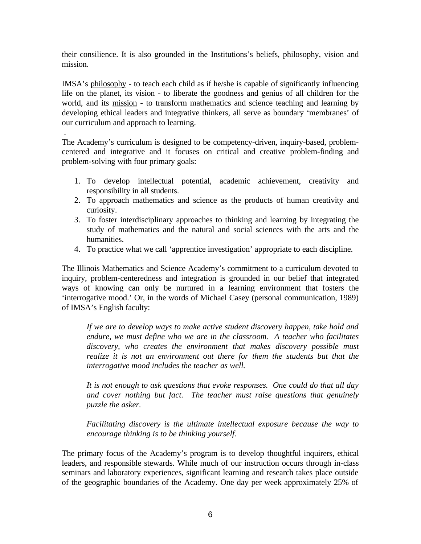their consilience. It is also grounded in the Institutions's beliefs, philosophy, vision and mission.

IMSA's philosophy - to teach each child as if he/she is capable of significantly influencing life on the planet, its vision - to liberate the goodness and genius of all children for the world, and its mission - to transform mathematics and science teaching and learning by developing ethical leaders and integrative thinkers, all serve as boundary 'membranes' of our curriculum and approach to learning.

The Academy's curriculum is designed to be competency-driven, inquiry-based, problemcentered and integrative and it focuses on critical and creative problem-finding and problem-solving with four primary goals:

.

- 1. To develop intellectual potential, academic achievement, creativity and responsibility in all students.
- 2. To approach mathematics and science as the products of human creativity and curiosity.
- 3. To foster interdisciplinary approaches to thinking and learning by integrating the study of mathematics and the natural and social sciences with the arts and the humanities.
- 4. To practice what we call 'apprentice investigation' appropriate to each discipline.

The Illinois Mathematics and Science Academy's commitment to a curriculum devoted to inquiry, problem-centeredness and integration is grounded in our belief that integrated ways of knowing can only be nurtured in a learning environment that fosters the 'interrogative mood.' Or, in the words of Michael Casey (personal communication, 1989) of IMSA's English faculty:

*If we are to develop ways to make active student discovery happen, take hold and endure, we must define who we are in the classroom. A teacher who facilitates discovery, who creates the environment that makes discovery possible must realize it is not an environment out there for them the students but that the interrogative mood includes the teacher as well.*

*It is not enough to ask questions that evoke responses. One could do that all day and cover nothing but fact. The teacher must raise questions that genuinely puzzle the asker.*

*Facilitating discovery is the ultimate intellectual exposure because the way to encourage thinking is to be thinking yourself.*

The primary focus of the Academy's program is to develop thoughtful inquirers, ethical leaders, and responsible stewards. While much of our instruction occurs through in-class seminars and laboratory experiences, significant learning and research takes place outside of the geographic boundaries of the Academy. One day per week approximately 25% of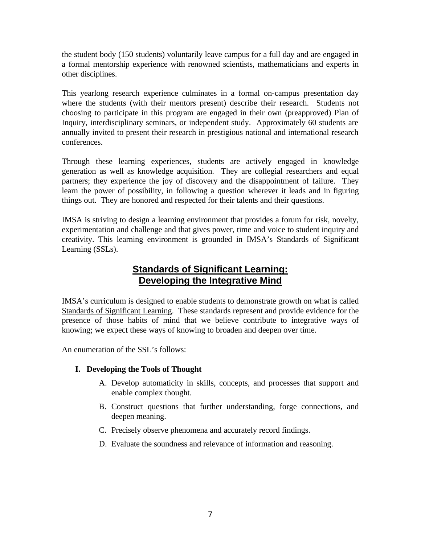the student body (150 students) voluntarily leave campus for a full day and are engaged in a formal mentorship experience with renowned scientists, mathematicians and experts in other disciplines.

This yearlong research experience culminates in a formal on-campus presentation day where the students (with their mentors present) describe their research. Students not choosing to participate in this program are engaged in their own (preapproved) Plan of Inquiry, interdisciplinary seminars, or independent study. Approximately 60 students are annually invited to present their research in prestigious national and international research conferences.

Through these learning experiences, students are actively engaged in knowledge generation as well as knowledge acquisition. They are collegial researchers and equal partners; they experience the joy of discovery and the disappointment of failure. They learn the power of possibility, in following a question wherever it leads and in figuring things out. They are honored and respected for their talents and their questions.

IMSA is striving to design a learning environment that provides a forum for risk, novelty, experimentation and challenge and that gives power, time and voice to student inquiry and creativity. This learning environment is grounded in IMSA's Standards of Significant Learning (SSLs).

## **Standards of Significant Learning: Developing the Integrative Mind**

IMSA's curriculum is designed to enable students to demonstrate growth on what is called Standards of Significant Learning. These standards represent and provide evidence for the presence of those habits of mind that we believe contribute to integrative ways of knowing; we expect these ways of knowing to broaden and deepen over time.

An enumeration of the SSL's follows:

### **I. Developing the Tools of Thought**

- A. Develop automaticity in skills, concepts, and processes that support and enable complex thought.
- B. Construct questions that further understanding, forge connections, and deepen meaning.
- C. Precisely observe phenomena and accurately record findings.
- D. Evaluate the soundness and relevance of information and reasoning.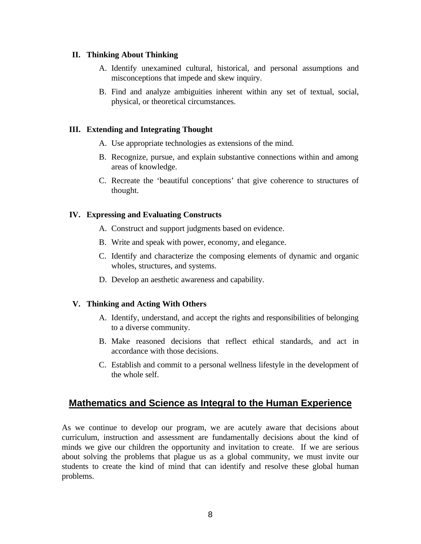#### **II. Thinking About Thinking**

- A. Identify unexamined cultural, historical, and personal assumptions and misconceptions that impede and skew inquiry.
- B. Find and analyze ambiguities inherent within any set of textual, social, physical, or theoretical circumstances.

#### **III. Extending and Integrating Thought**

- A. Use appropriate technologies as extensions of the mind.
- B. Recognize, pursue, and explain substantive connections within and among areas of knowledge.
- C. Recreate the 'beautiful conceptions' that give coherence to structures of thought.

#### **IV. Expressing and Evaluating Constructs**

- A. Construct and support judgments based on evidence.
- B. Write and speak with power, economy, and elegance.
- C. Identify and characterize the composing elements of dynamic and organic wholes, structures, and systems.
- D. Develop an aesthetic awareness and capability.

#### **V. Thinking and Acting With Others**

- A. Identify, understand, and accept the rights and responsibilities of belonging to a diverse community.
- B. Make reasoned decisions that reflect ethical standards, and act in accordance with those decisions.
- C. Establish and commit to a personal wellness lifestyle in the development of the whole self.

## **Mathematics and Science as Integral to the Human Experience**

As we continue to develop our program, we are acutely aware that decisions about curriculum, instruction and assessment are fundamentally decisions about the kind of minds we give our children the opportunity and invitation to create. If we are serious about solving the problems that plague us as a global community, we must invite our students to create the kind of mind that can identify and resolve these global human problems.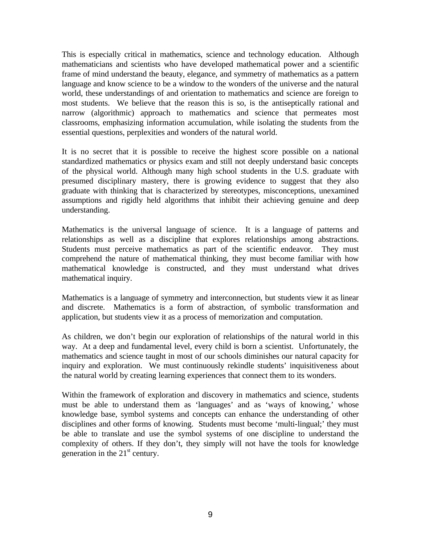This is especially critical in mathematics, science and technology education. Although mathematicians and scientists who have developed mathematical power and a scientific frame of mind understand the beauty, elegance, and symmetry of mathematics as a pattern language and know science to be a window to the wonders of the universe and the natural world, these understandings of and orientation to mathematics and science are foreign to most students. We believe that the reason this is so, is the antiseptically rational and narrow (algorithmic) approach to mathematics and science that permeates most classrooms, emphasizing information accumulation, while isolating the students from the essential questions, perplexities and wonders of the natural world.

It is no secret that it is possible to receive the highest score possible on a national standardized mathematics or physics exam and still not deeply understand basic concepts of the physical world. Although many high school students in the U.S. graduate with presumed disciplinary mastery, there is growing evidence to suggest that they also graduate with thinking that is characterized by stereotypes, misconceptions, unexamined assumptions and rigidly held algorithms that inhibit their achieving genuine and deep understanding.

Mathematics is the universal language of science. It is a language of patterns and relationships as well as a discipline that explores relationships among abstractions. Students must perceive mathematics as part of the scientific endeavor. They must comprehend the nature of mathematical thinking, they must become familiar with how mathematical knowledge is constructed, and they must understand what drives mathematical inquiry.

Mathematics is a language of symmetry and interconnection, but students view it as linear and discrete. Mathematics is a form of abstraction, of symbolic transformation and application, but students view it as a process of memorization and computation.

As children, we don't begin our exploration of relationships of the natural world in this way. At a deep and fundamental level, every child is born a scientist. Unfortunately, the mathematics and science taught in most of our schools diminishes our natural capacity for inquiry and exploration. We must continuously rekindle students' inquisitiveness about the natural world by creating learning experiences that connect them to its wonders.

Within the framework of exploration and discovery in mathematics and science, students must be able to understand them as 'languages' and as 'ways of knowing,' whose knowledge base, symbol systems and concepts can enhance the understanding of other disciplines and other forms of knowing. Students must become 'multi-lingual;' they must be able to translate and use the symbol systems of one discipline to understand the complexity of others. If they don't, they simply will not have the tools for knowledge generation in the  $21<sup>st</sup>$  century.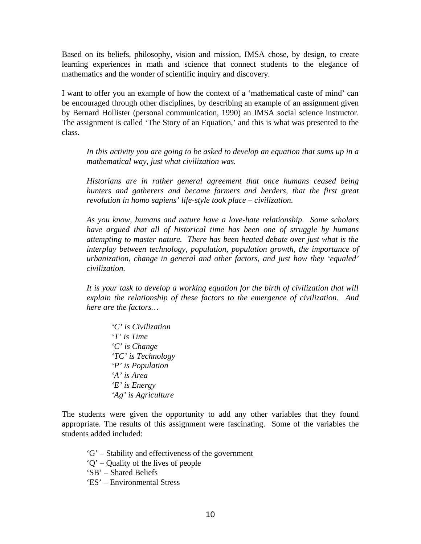Based on its beliefs, philosophy, vision and mission, IMSA chose, by design, to create learning experiences in math and science that connect students to the elegance of mathematics and the wonder of scientific inquiry and discovery.

I want to offer you an example of how the context of a 'mathematical caste of mind' can be encouraged through other disciplines, by describing an example of an assignment given by Bernard Hollister (personal communication, 1990) an IMSA social science instructor. The assignment is called 'The Story of an Equation,' and this is what was presented to the class.

In this activity you are going to be asked to develop an equation that sums up in a *mathematical way, just what civilization was.* 

*Historians are in rather general agreement that once humans ceased being hunters and gatherers and became farmers and herders, that the first great revolution in homo sapiens' life-style took place – civilization.*

*As you know, humans and nature have a love-hate relationship. Some scholars have argued that all of historical time has been one of struggle by humans attempting to master nature. There has been heated debate over just what is the interplay between technology, population, population growth, the importance of urbanization, change in general and other factors, and just how they 'equaled' civilization.*

*It is your task to develop a working equation for the birth of civilization that will explain the relationship of these factors to the emergence of civilization. And here are the factors…*

*'C' is Civilization 'T' is Time 'C' is Change 'TC' is Technology 'P' is Population 'A' is Area 'E' is Energy 'Ag' is Agriculture*

The students were given the opportunity to add any other variables that they found appropriate. The results of this assignment were fascinating. Some of the variables the students added included:

- 'G' Stability and effectiveness of the government
- 'Q' Quality of the lives of people
- 'SB' Shared Beliefs
- 'ES' Environmental Stress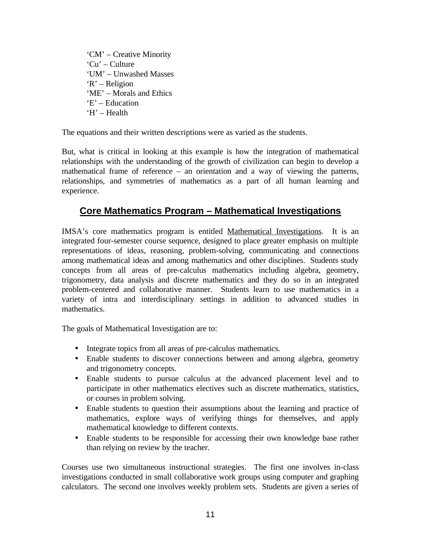'CM' – Creative Minority 'Cu' – Culture 'UM' – Unwashed Masses 'R' – Religion 'ME' – Morals and Ethics 'E' – Education 'H' – Health

The equations and their written descriptions were as varied as the students.

But, what is critical in looking at this example is how the integration of mathematical relationships with the understanding of the growth of civilization can begin to develop a mathematical frame of reference – an orientation and a way of viewing the patterns, relationships, and symmetries of mathematics as a part of all human learning and experience.

## **Core Mathematics Program – Mathematical Investigations**

IMSA's core mathematics program is entitled Mathematical Investigations. It is an integrated four-semester course sequence, designed to place greater emphasis on multiple representations of ideas, reasoning, problem-solving, communicating and connections among mathematical ideas and among mathematics and other disciplines. Students study concepts from all areas of pre-calculus mathematics including algebra, geometry, trigonometry, data analysis and discrete mathematics and they do so in an integrated problem-centered and collaborative manner. Students learn to use mathematics in a variety of intra and interdisciplinary settings in addition to advanced studies in mathematics.

The goals of Mathematical Investigation are to:

- Integrate topics from all areas of pre-calculus mathematics.
- Enable students to discover connections between and among algebra, geometry and trigonometry concepts.
- Enable students to pursue calculus at the advanced placement level and to participate in other mathematics electives such as discrete mathematics, statistics, or courses in problem solving.
- Enable students to question their assumptions about the learning and practice of mathematics, explore ways of verifying things for themselves, and apply mathematical knowledge to different contexts.
- Enable students to be responsible for accessing their own knowledge base rather than relying on review by the teacher.

Courses use two simultaneous instructional strategies. The first one involves in-class investigations conducted in small collaborative work groups using computer and graphing calculators. The second one involves weekly problem sets. Students are given a series of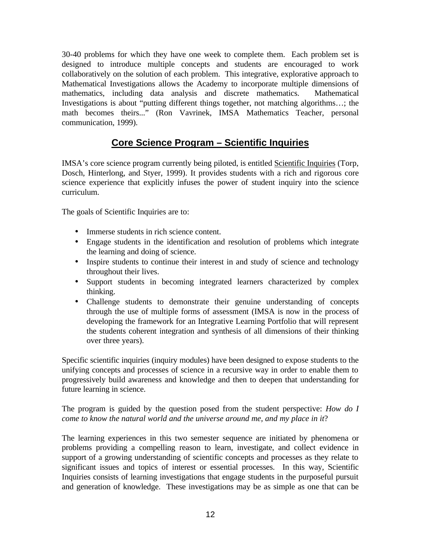30-40 problems for which they have one week to complete them. Each problem set is designed to introduce multiple concepts and students are encouraged to work collaboratively on the solution of each problem. This integrative, explorative approach to Mathematical Investigations allows the Academy to incorporate multiple dimensions of mathematics, including data analysis and discrete mathematics. Mathematical Investigations is about "putting different things together, not matching algorithms…; the math becomes theirs..." (Ron Vavrinek, IMSA Mathematics Teacher, personal communication, 1999).

## **Core Science Program – Scientific Inquiries**

IMSA's core science program currently being piloted, is entitled Scientific Inquiries (Torp, Dosch, Hinterlong, and Styer, 1999). It provides students with a rich and rigorous core science experience that explicitly infuses the power of student inquiry into the science curriculum.

The goals of Scientific Inquiries are to:

- Immerse students in rich science content.
- Engage students in the identification and resolution of problems which integrate the learning and doing of science.
- Inspire students to continue their interest in and study of science and technology throughout their lives.
- Support students in becoming integrated learners characterized by complex thinking.
- Challenge students to demonstrate their genuine understanding of concepts through the use of multiple forms of assessment (IMSA is now in the process of developing the framework for an Integrative Learning Portfolio that will represent the students coherent integration and synthesis of all dimensions of their thinking over three years).

Specific scientific inquiries (inquiry modules) have been designed to expose students to the unifying concepts and processes of science in a recursive way in order to enable them to progressively build awareness and knowledge and then to deepen that understanding for future learning in science.

The program is guided by the question posed from the student perspective: *How do I come to know the natural world and the universe around me, and my place in it*?

The learning experiences in this two semester sequence are initiated by phenomena or problems providing a compelling reason to learn, investigate, and collect evidence in support of a growing understanding of scientific concepts and processes as they relate to significant issues and topics of interest or essential processes. In this way, Scientific Inquiries consists of learning investigations that engage students in the purposeful pursuit and generation of knowledge. These investigations may be as simple as one that can be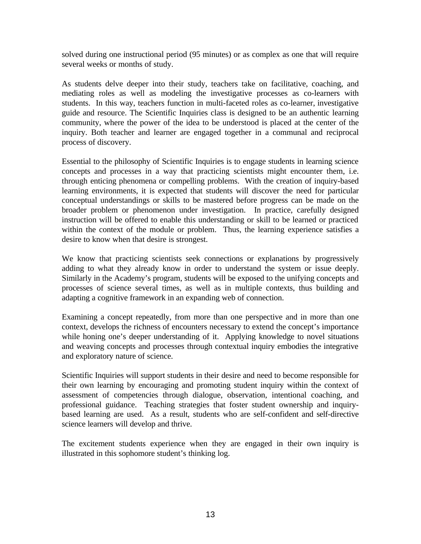solved during one instructional period (95 minutes) or as complex as one that will require several weeks or months of study.

As students delve deeper into their study, teachers take on facilitative, coaching, and mediating roles as well as modeling the investigative processes as co-learners with students. In this way, teachers function in multi-faceted roles as co-learner, investigative guide and resource. The Scientific Inquiries class is designed to be an authentic learning community, where the power of the idea to be understood is placed at the center of the inquiry. Both teacher and learner are engaged together in a communal and reciprocal process of discovery.

Essential to the philosophy of Scientific Inquiries is to engage students in learning science concepts and processes in a way that practicing scientists might encounter them, i.e. through enticing phenomena or compelling problems. With the creation of inquiry-based learning environments, it is expected that students will discover the need for particular conceptual understandings or skills to be mastered before progress can be made on the broader problem or phenomenon under investigation. In practice, carefully designed instruction will be offered to enable this understanding or skill to be learned or practiced within the context of the module or problem. Thus, the learning experience satisfies a desire to know when that desire is strongest.

We know that practicing scientists seek connections or explanations by progressively adding to what they already know in order to understand the system or issue deeply. Similarly in the Academy's program, students will be exposed to the unifying concepts and processes of science several times, as well as in multiple contexts, thus building and adapting a cognitive framework in an expanding web of connection.

Examining a concept repeatedly, from more than one perspective and in more than one context, develops the richness of encounters necessary to extend the concept's importance while honing one's deeper understanding of it. Applying knowledge to novel situations and weaving concepts and processes through contextual inquiry embodies the integrative and exploratory nature of science.

Scientific Inquiries will support students in their desire and need to become responsible for their own learning by encouraging and promoting student inquiry within the context of assessment of competencies through dialogue, observation, intentional coaching, and professional guidance. Teaching strategies that foster student ownership and inquirybased learning are used. As a result, students who are self-confident and self-directive science learners will develop and thrive.

The excitement students experience when they are engaged in their own inquiry is illustrated in this sophomore student's thinking log.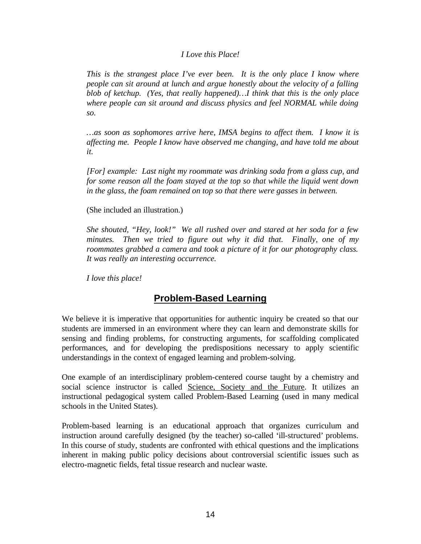#### *I Love this Place!*

*This is the strangest place I've ever been. It is the only place I know where people can sit around at lunch and argue honestly about the velocity of a falling blob of ketchup. (Yes, that really happened)…I think that this is the only place where people can sit around and discuss physics and feel NORMAL while doing so.*

*…as soon as sophomores arrive here, IMSA begins to affect them. I know it is affecting me. People I know have observed me changing, and have told me about it.*

*[For] example: Last night my roommate was drinking soda from a glass cup, and for some reason all the foam stayed at the top so that while the liquid went down in the glass, the foam remained on top so that there were gasses in between.*

(She included an illustration.)

*She shouted, "Hey, look!" We all rushed over and stared at her soda for a few minutes. Then we tried to figure out why it did that. Finally, one of my roommates grabbed a camera and took a picture of it for our photography class. It was really an interesting occurrence.*

*I love this place!*

## **Problem-Based Learning**

We believe it is imperative that opportunities for authentic inquiry be created so that our students are immersed in an environment where they can learn and demonstrate skills for sensing and finding problems, for constructing arguments, for scaffolding complicated performances, and for developing the predispositions necessary to apply scientific understandings in the context of engaged learning and problem-solving.

One example of an interdisciplinary problem-centered course taught by a chemistry and social science instructor is called Science, Society and the Future. It utilizes an instructional pedagogical system called Problem-Based Learning (used in many medical schools in the United States).

Problem-based learning is an educational approach that organizes curriculum and instruction around carefully designed (by the teacher) so-called 'ill-structured' problems. In this course of study, students are confronted with ethical questions and the implications inherent in making public policy decisions about controversial scientific issues such as electro-magnetic fields, fetal tissue research and nuclear waste.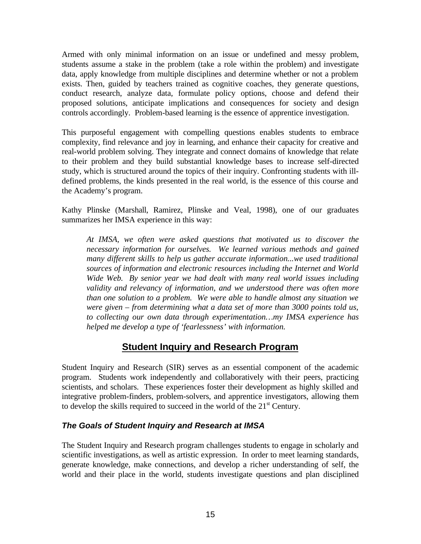Armed with only minimal information on an issue or undefined and messy problem, students assume a stake in the problem (take a role within the problem) and investigate data, apply knowledge from multiple disciplines and determine whether or not a problem exists. Then, guided by teachers trained as cognitive coaches, they generate questions, conduct research, analyze data, formulate policy options, choose and defend their proposed solutions, anticipate implications and consequences for society and design controls accordingly. Problem-based learning is the essence of apprentice investigation.

This purposeful engagement with compelling questions enables students to embrace complexity, find relevance and joy in learning, and enhance their capacity for creative and real-world problem solving. They integrate and connect domains of knowledge that relate to their problem and they build substantial knowledge bases to increase self-directed study, which is structured around the topics of their inquiry. Confronting students with illdefined problems, the kinds presented in the real world, is the essence of this course and the Academy's program.

Kathy Plinske (Marshall, Ramirez, Plinske and Veal, 1998), one of our graduates summarizes her IMSA experience in this way:

*At IMSA, we often were asked questions that motivated us to discover the necessary information for ourselves. We learned various methods and gained many different skills to help us gather accurate information...we used traditional sources of information and electronic resources including the Internet and World Wide Web. By senior year we had dealt with many real world issues including validity and relevancy of information, and we understood there was often more than one solution to a problem. We were able to handle almost any situation we were given – from determining what a data set of more than 3000 points told us, to collecting our own data through experimentation…my IMSA experience has helped me develop a type of 'fearlessness' with information.*

## **Student Inquiry and Research Program**

Student Inquiry and Research (SIR) serves as an essential component of the academic program. Students work independently and collaboratively with their peers, practicing scientists, and scholars. These experiences foster their development as highly skilled and integrative problem-finders, problem-solvers, and apprentice investigators, allowing them to develop the skills required to succeed in the world of the  $21<sup>st</sup>$  Century.

### *The Goals of Student Inquiry and Research at IMSA*

The Student Inquiry and Research program challenges students to engage in scholarly and scientific investigations, as well as artistic expression. In order to meet learning standards, generate knowledge, make connections, and develop a richer understanding of self, the world and their place in the world, students investigate questions and plan disciplined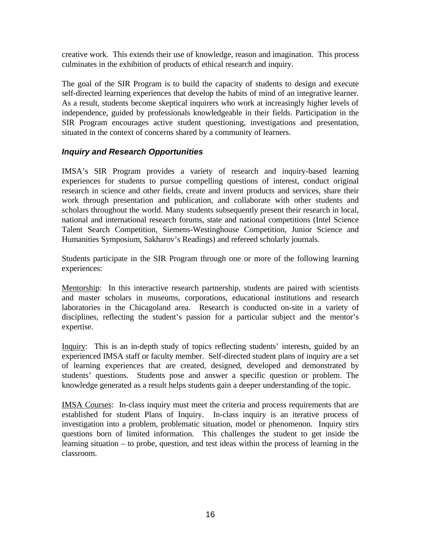creative work. This extends their use of knowledge, reason and imagination. This process culminates in the exhibition of products of ethical research and inquiry.

The goal of the SIR Program is to build the capacity of students to design and execute self-directed learning experiences that develop the habits of mind of an integrative learner. As a result, students become skeptical inquirers who work at increasingly higher levels of independence, guided by professionals knowledgeable in their fields. Participation in the SIR Program encourages active student questioning, investigations and presentation, situated in the context of concerns shared by a community of learners.

### *Inquiry and Research Opportunities*

IMSA's SIR Program provides a variety of research and inquiry-based learning experiences for students to pursue compelling questions of interest, conduct original research in science and other fields, create and invent products and services, share their work through presentation and publication, and collaborate with other students and scholars throughout the world. Many students subsequently present their research in local, national and international research forums, state and national competitions (Intel Science Talent Search Competition, Siemens-Westinghouse Competition, Junior Science and Humanities Symposium, Sakharov's Readings) and refereed scholarly journals.

Students participate in the SIR Program through one or more of the following learning experiences:

Mentorship: In this interactive research partnership, students are paired with scientists and master scholars in museums, corporations, educational institutions and research laboratories in the Chicagoland area. Research is conducted on-site in a variety of disciplines, reflecting the student's passion for a particular subject and the mentor's expertise.

Inquiry: This is an in-depth study of topics reflecting students' interests, guided by an experienced IMSA staff or faculty member. Self-directed student plans of inquiry are a set of learning experiences that are created, designed, developed and demonstrated by students' questions. Students pose and answer a specific question or problem. The knowledge generated as a result helps students gain a deeper understanding of the topic.

IMSA Courses: In-class inquiry must meet the criteria and process requirements that are established for student Plans of Inquiry. In-class inquiry is an iterative process of investigation into a problem, problematic situation, model or phenomenon. Inquiry stirs questions born of limited information. This challenges the student to get inside the learning situation – to probe, question, and test ideas within the process of learning in the classroom.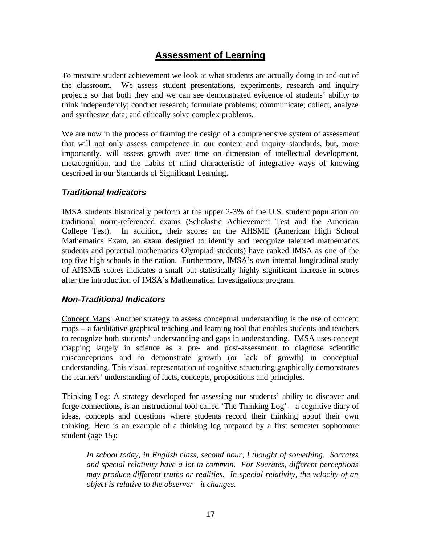## **Assessment of Learning**

To measure student achievement we look at what students are actually doing in and out of the classroom. We assess student presentations, experiments, research and inquiry projects so that both they and we can see demonstrated evidence of students' ability to think independently; conduct research; formulate problems; communicate; collect, analyze and synthesize data; and ethically solve complex problems.

We are now in the process of framing the design of a comprehensive system of assessment that will not only assess competence in our content and inquiry standards, but, more importantly, will assess growth over time on dimension of intellectual development, metacognition, and the habits of mind characteristic of integrative ways of knowing described in our Standards of Significant Learning.

#### *Traditional Indicators*

IMSA students historically perform at the upper 2-3% of the U.S. student population on traditional norm-referenced exams (Scholastic Achievement Test and the American College Test). In addition, their scores on the AHSME (American High School Mathematics Exam, an exam designed to identify and recognize talented mathematics students and potential mathematics Olympiad students) have ranked IMSA as one of the top five high schools in the nation. Furthermore, IMSA's own internal longitudinal study of AHSME scores indicates a small but statistically highly significant increase in scores after the introduction of IMSA's Mathematical Investigations program.

#### *Non-Traditional Indicators*

Concept Maps: Another strategy to assess conceptual understanding is the use of concept maps – a facilitative graphical teaching and learning tool that enables students and teachers to recognize both students' understanding and gaps in understanding. IMSA uses concept mapping largely in science as a pre- and post-assessment to diagnose scientific misconceptions and to demonstrate growth (or lack of growth) in conceptual understanding. This visual representation of cognitive structuring graphically demonstrates the learners' understanding of facts, concepts, propositions and principles.

Thinking Log: A strategy developed for assessing our students' ability to discover and forge connections, is an instructional tool called 'The Thinking Log' – a cognitive diary of ideas, concepts and questions where students record their thinking about their own thinking. Here is an example of a thinking log prepared by a first semester sophomore student (age 15):

*In school today, in English class, second hour, I thought of something. Socrates and special relativity have a lot in common. For Socrates, different perceptions may produce different truths or realities. In special relativity, the velocity of an object is relative to the observer—it changes.*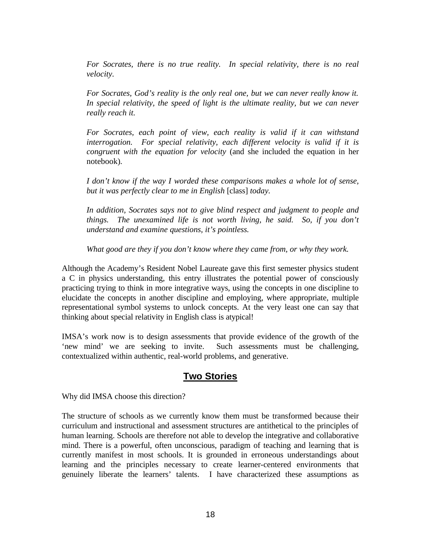*For Socrates, there is no true reality. In special relativity, there is no real velocity.*

*For Socrates, God's reality is the only real one, but we can never really know it. In special relativity, the speed of light is the ultimate reality, but we can never really reach it.*

*For Socrates, each point of view, each reality is valid if it can withstand interrogation. For special relativity, each different velocity is valid if it is congruent with the equation for velocity* (and she included the equation in her notebook)*.*

*I don't know if the way I worded these comparisons makes a whole lot of sense, but it was perfectly clear to me in English* [class] *today.*

*In addition, Socrates says not to give blind respect and judgment to people and things. The unexamined life is not worth living, he said. So, if you don't understand and examine questions, it's pointless.*

*What good are they if you don't know where they came from, or why they work.*

Although the Academy's Resident Nobel Laureate gave this first semester physics student a C in physics understanding, this entry illustrates the potential power of consciously practicing trying to think in more integrative ways, using the concepts in one discipline to elucidate the concepts in another discipline and employing, where appropriate, multiple representational symbol systems to unlock concepts. At the very least one can say that thinking about special relativity in English class is atypical!

IMSA's work now is to design assessments that provide evidence of the growth of the 'new mind' we are seeking to invite. Such assessments must be challenging, contextualized within authentic, real-world problems, and generative.

## **Two Stories**

Why did IMSA choose this direction?

The structure of schools as we currently know them must be transformed because their curriculum and instructional and assessment structures are antithetical to the principles of human learning. Schools are therefore not able to develop the integrative and collaborative mind. There is a powerful, often unconscious, paradigm of teaching and learning that is currently manifest in most schools. It is grounded in erroneous understandings about learning and the principles necessary to create learner-centered environments that genuinely liberate the learners' talents. I have characterized these assumptions as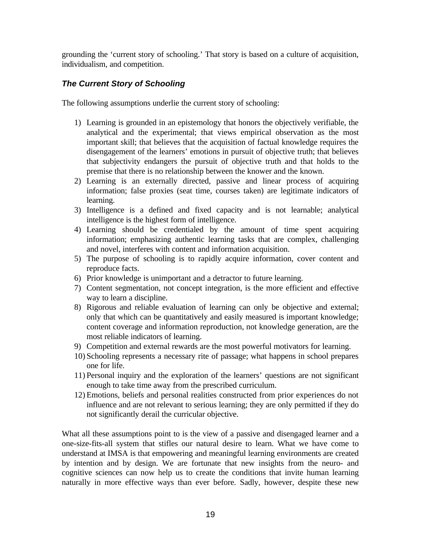grounding the 'current story of schooling.' That story is based on a culture of acquisition, individualism, and competition.

### *The Current Story of Schooling*

The following assumptions underlie the current story of schooling:

- 1) Learning is grounded in an epistemology that honors the objectively verifiable, the analytical and the experimental; that views empirical observation as the most important skill; that believes that the acquisition of factual knowledge requires the disengagement of the learners' emotions in pursuit of objective truth; that believes that subjectivity endangers the pursuit of objective truth and that holds to the premise that there is no relationship between the knower and the known.
- 2) Learning is an externally directed, passive and linear process of acquiring information; false proxies (seat time, courses taken) are legitimate indicators of learning.
- 3) Intelligence is a defined and fixed capacity and is not learnable; analytical intelligence is the highest form of intelligence.
- 4) Learning should be credentialed by the amount of time spent acquiring information; emphasizing authentic learning tasks that are complex, challenging and novel, interferes with content and information acquisition.
- 5) The purpose of schooling is to rapidly acquire information, cover content and reproduce facts.
- 6) Prior knowledge is unimportant and a detractor to future learning.
- 7) Content segmentation, not concept integration, is the more efficient and effective way to learn a discipline.
- 8) Rigorous and reliable evaluation of learning can only be objective and external; only that which can be quantitatively and easily measured is important knowledge; content coverage and information reproduction, not knowledge generation, are the most reliable indicators of learning.
- 9) Competition and external rewards are the most powerful motivators for learning.
- 10) Schooling represents a necessary rite of passage; what happens in school prepares one for life.
- 11) Personal inquiry and the exploration of the learners' questions are not significant enough to take time away from the prescribed curriculum.
- 12) Emotions, beliefs and personal realities constructed from prior experiences do not influence and are not relevant to serious learning; they are only permitted if they do not significantly derail the curricular objective.

What all these assumptions point to is the view of a passive and disengaged learner and a one-size-fits-all system that stifles our natural desire to learn. What we have come to understand at IMSA is that empowering and meaningful learning environments are created by intention and by design. We are fortunate that new insights from the neuro- and cognitive sciences can now help us to create the conditions that invite human learning naturally in more effective ways than ever before. Sadly, however, despite these new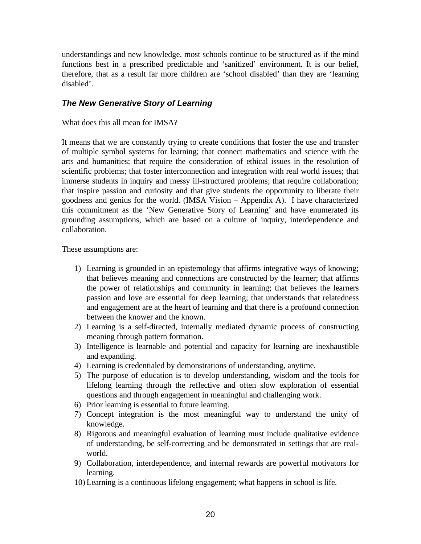understandings and new knowledge, most schools continue to be structured as if the mind functions best in a prescribed predictable and 'sanitized' environment. It is our belief, therefore, that as a result far more children are 'school disabled' than they are 'learning disabled'.

#### *The New Generative Story of Learning*

#### What does this all mean for IMSA?

It means that we are constantly trying to create conditions that foster the use and transfer of multiple symbol systems for learning; that connect mathematics and science with the arts and humanities; that require the consideration of ethical issues in the resolution of scientific problems; that foster interconnection and integration with real world issues; that immerse students in inquiry and messy ill-structured problems; that require collaboration; that inspire passion and curiosity and that give students the opportunity to liberate their goodness and genius for the world. (IMSA Vision – Appendix A). I have characterized this commitment as the 'New Generative Story of Learning' and have enumerated its grounding assumptions, which are based on a culture of inquiry, interdependence and collaboration.

These assumptions are:

- 1) Learning is grounded in an epistemology that affirms integrative ways of knowing; that believes meaning and connections are constructed by the learner; that affirms the power of relationships and community in learning; that believes the learners passion and love are essential for deep learning; that understands that relatedness and engagement are at the heart of learning and that there is a profound connection between the knower and the known.
- 2) Learning is a self-directed, internally mediated dynamic process of constructing meaning through pattern formation.
- 3) Intelligence is learnable and potential and capacity for learning are inexhaustible and expanding.
- 4) Learning is credentialed by demonstrations of understanding, anytime.
- 5) The purpose of education is to develop understanding, wisdom and the tools for lifelong learning through the reflective and often slow exploration of essential questions and through engagement in meaningful and challenging work.
- 6) Prior learning is essential to future learning.
- 7) Concept integration is the most meaningful way to understand the unity of knowledge.
- 8) Rigorous and meaningful evaluation of learning must include qualitative evidence of understanding, be self-correcting and be demonstrated in settings that are realworld.
- 9) Collaboration, interdependence, and internal rewards are powerful motivators for learning.
- 10) Learning is a continuous lifelong engagement; what happens in school is life.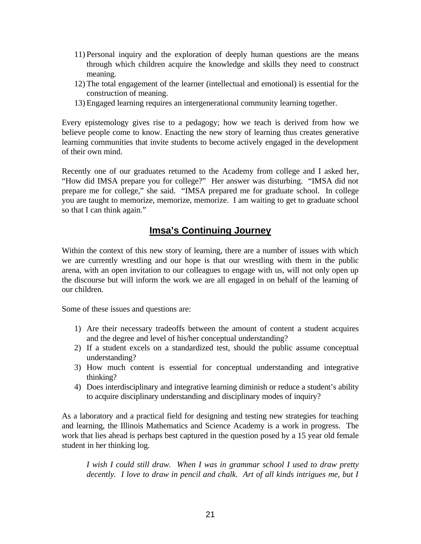- 11) Personal inquiry and the exploration of deeply human questions are the means through which children acquire the knowledge and skills they need to construct meaning.
- 12) The total engagement of the learner (intellectual and emotional) is essential for the construction of meaning.
- 13) Engaged learning requires an intergenerational community learning together.

Every epistemology gives rise to a pedagogy; how we teach is derived from how we believe people come to know. Enacting the new story of learning thus creates generative learning communities that invite students to become actively engaged in the development of their own mind.

Recently one of our graduates returned to the Academy from college and I asked her, "How did IMSA prepare you for college?" Her answer was disturbing. "IMSA did not prepare me for college," she said. "IMSA prepared me for graduate school. In college you are taught to memorize, memorize, memorize. I am waiting to get to graduate school so that I can think again."

## **Imsa's Continuing Journey**

Within the context of this new story of learning, there are a number of issues with which we are currently wrestling and our hope is that our wrestling with them in the public arena, with an open invitation to our colleagues to engage with us, will not only open up the discourse but will inform the work we are all engaged in on behalf of the learning of our children.

Some of these issues and questions are:

- 1) Are their necessary tradeoffs between the amount of content a student acquires and the degree and level of his/her conceptual understanding?
- 2) If a student excels on a standardized test, should the public assume conceptual understanding?
- 3) How much content is essential for conceptual understanding and integrative thinking?
- 4) Does interdisciplinary and integrative learning diminish or reduce a student's ability to acquire disciplinary understanding and disciplinary modes of inquiry?

As a laboratory and a practical field for designing and testing new strategies for teaching and learning, the Illinois Mathematics and Science Academy is a work in progress. The work that lies ahead is perhaps best captured in the question posed by a 15 year old female student in her thinking log.

*I wish I could still draw. When I was in grammar school I used to draw pretty decently. I love to draw in pencil and chalk. Art of all kinds intrigues me, but I*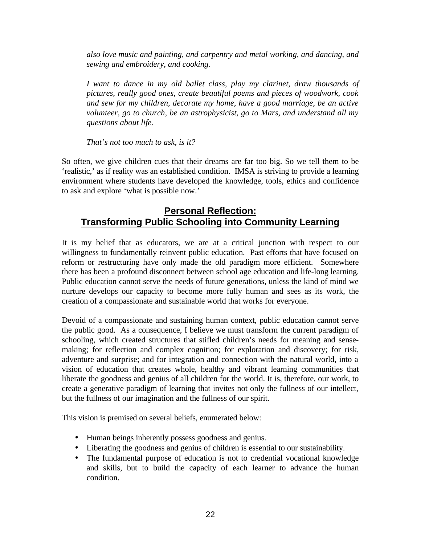*also love music and painting, and carpentry and metal working, and dancing, and sewing and embroidery, and cooking.*

*I want to dance in my old ballet class, play my clarinet, draw thousands of pictures, really good ones, create beautiful poems and pieces of woodwork, cook and sew for my children, decorate my home, have a good marriage, be an active volunteer, go to church, be an astrophysicist, go to Mars, and understand all my questions about life.*

*That's not too much to ask, is it?*

So often, we give children cues that their dreams are far too big. So we tell them to be 'realistic,' as if reality was an established condition. IMSA is striving to provide a learning environment where students have developed the knowledge, tools, ethics and confidence to ask and explore 'what is possible now.'

## **Personal Reflection: Transforming Public Schooling into Community Learning**

It is my belief that as educators, we are at a critical junction with respect to our willingness to fundamentally reinvent public education. Past efforts that have focused on reform or restructuring have only made the old paradigm more efficient. Somewhere there has been a profound disconnect between school age education and life-long learning. Public education cannot serve the needs of future generations, unless the kind of mind we nurture develops our capacity to become more fully human and sees as its work, the creation of a compassionate and sustainable world that works for everyone.

Devoid of a compassionate and sustaining human context, public education cannot serve the public good. As a consequence, I believe we must transform the current paradigm of schooling, which created structures that stifled children's needs for meaning and sensemaking; for reflection and complex cognition; for exploration and discovery; for risk, adventure and surprise; and for integration and connection with the natural world, into a vision of education that creates whole, healthy and vibrant learning communities that liberate the goodness and genius of all children for the world. It is, therefore, our work, to create a generative paradigm of learning that invites not only the fullness of our intellect, but the fullness of our imagination and the fullness of our spirit.

This vision is premised on several beliefs, enumerated below:

- Human beings inherently possess goodness and genius.
- Liberating the goodness and genius of children is essential to our sustainability.
- The fundamental purpose of education is not to credential vocational knowledge and skills, but to build the capacity of each learner to advance the human condition.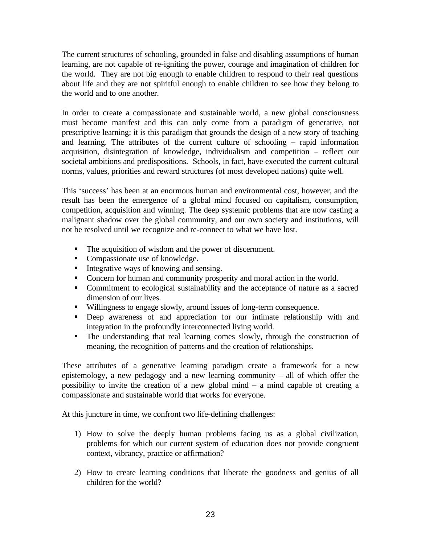The current structures of schooling, grounded in false and disabling assumptions of human learning, are not capable of re-igniting the power, courage and imagination of children for the world. They are not big enough to enable children to respond to their real questions about life and they are not spiritful enough to enable children to see how they belong to the world and to one another.

In order to create a compassionate and sustainable world, a new global consciousness must become manifest and this can only come from a paradigm of generative, not prescriptive learning; it is this paradigm that grounds the design of a new story of teaching and learning. The attributes of the current culture of schooling – rapid information acquisition, disintegration of knowledge, individualism and competition – reflect our societal ambitions and predispositions. Schools, in fact, have executed the current cultural norms, values, priorities and reward structures (of most developed nations) quite well.

This 'success' has been at an enormous human and environmental cost, however, and the result has been the emergence of a global mind focused on capitalism, consumption, competition, acquisition and winning. The deep systemic problems that are now casting a malignant shadow over the global community, and our own society and institutions, will not be resolved until we recognize and re-connect to what we have lost.

- The acquisition of wisdom and the power of discernment.
- Compassionate use of knowledge.
- $\blacksquare$  Integrative ways of knowing and sensing.
- Concern for human and community prosperity and moral action in the world.
- Commitment to ecological sustainability and the acceptance of nature as a sacred dimension of our lives.
- Willingness to engage slowly, around issues of long-term consequence.
- **•** Deep awareness of and appreciation for our intimate relationship with and integration in the profoundly interconnected living world.
- The understanding that real learning comes slowly, through the construction of meaning, the recognition of patterns and the creation of relationships.

These attributes of a generative learning paradigm create a framework for a new epistemology, a new pedagogy and a new learning community – all of which offer the possibility to invite the creation of a new global mind – a mind capable of creating a compassionate and sustainable world that works for everyone.

At this juncture in time, we confront two life-defining challenges:

- 1) How to solve the deeply human problems facing us as a global civilization, problems for which our current system of education does not provide congruent context, vibrancy, practice or affirmation?
- 2) How to create learning conditions that liberate the goodness and genius of all children for the world?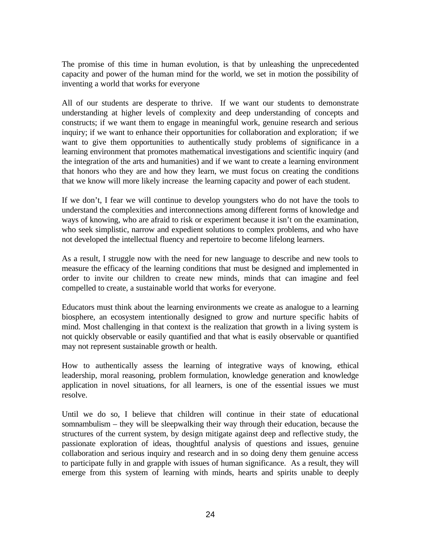The promise of this time in human evolution, is that by unleashing the unprecedented capacity and power of the human mind for the world, we set in motion the possibility of inventing a world that works for everyone

All of our students are desperate to thrive. If we want our students to demonstrate understanding at higher levels of complexity and deep understanding of concepts and constructs; if we want them to engage in meaningful work, genuine research and serious inquiry; if we want to enhance their opportunities for collaboration and exploration; if we want to give them opportunities to authentically study problems of significance in a learning environment that promotes mathematical investigations and scientific inquiry (and the integration of the arts and humanities) and if we want to create a learning environment that honors who they are and how they learn, we must focus on creating the conditions that we know will more likely increase the learning capacity and power of each student.

If we don't, I fear we will continue to develop youngsters who do not have the tools to understand the complexities and interconnections among different forms of knowledge and ways of knowing, who are afraid to risk or experiment because it isn't on the examination, who seek simplistic, narrow and expedient solutions to complex problems, and who have not developed the intellectual fluency and repertoire to become lifelong learners.

As a result, I struggle now with the need for new language to describe and new tools to measure the efficacy of the learning conditions that must be designed and implemented in order to invite our children to create new minds, minds that can imagine and feel compelled to create, a sustainable world that works for everyone.

Educators must think about the learning environments we create as analogue to a learning biosphere, an ecosystem intentionally designed to grow and nurture specific habits of mind. Most challenging in that context is the realization that growth in a living system is not quickly observable or easily quantified and that what is easily observable or quantified may not represent sustainable growth or health.

How to authentically assess the learning of integrative ways of knowing, ethical leadership, moral reasoning, problem formulation, knowledge generation and knowledge application in novel situations, for all learners, is one of the essential issues we must resolve.

Until we do so, I believe that children will continue in their state of educational somnambulism – they will be sleepwalking their way through their education, because the structures of the current system, by design mitigate against deep and reflective study, the passionate exploration of ideas, thoughtful analysis of questions and issues, genuine collaboration and serious inquiry and research and in so doing deny them genuine access to participate fully in and grapple with issues of human significance. As a result, they will emerge from this system of learning with minds, hearts and spirits unable to deeply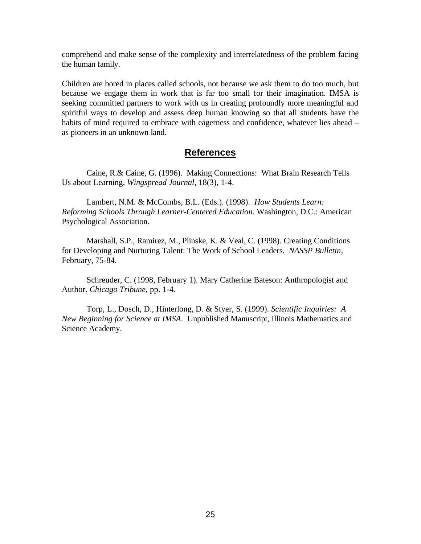comprehend and make sense of the complexity and interrelatedness of the problem facing the human family.

Children are bored in places called schools, not because we ask them to do too much, but because we engage them in work that is far too small for their imagination. IMSA is seeking committed partners to work with us in creating profoundly more meaningful and spiritful ways to develop and assess deep human knowing so that all students have the habits of mind required to embrace with eagerness and confidence, whatever lies ahead – as pioneers in an unknown land.

## **References**

Caine, R.& Caine, G. (1996). Making Connections: What Brain Research Tells Us about Learning, *Wingspread Journal*, 18(3), 1-4.

Lambert, N.M. & McCombs, B.L. (Eds.). (1998). *How Students Learn: Reforming Schools Through Learner-Centered Education*. Washington, D.C.: American Psychological Association.

Marshall, S.P., Ramirez, M., Plinske, K. & Veal, C. (1998). Creating Conditions for Developing and Nurturing Talent: The Work of School Leaders. *NASSP Bulletin*, February, 75-84.

Schreuder, C. (1998, February 1). Mary Catherine Bateson: Anthropologist and Author. *Chicago Tribune*, pp. 1-4.

Torp, L., Dosch, D., Hinterlong, D. & Styer, S. (1999). *Scientific Inquiries: A New Beginning for Science at IMSA*. Unpublished Manuscript, Illinois Mathematics and Science Academy.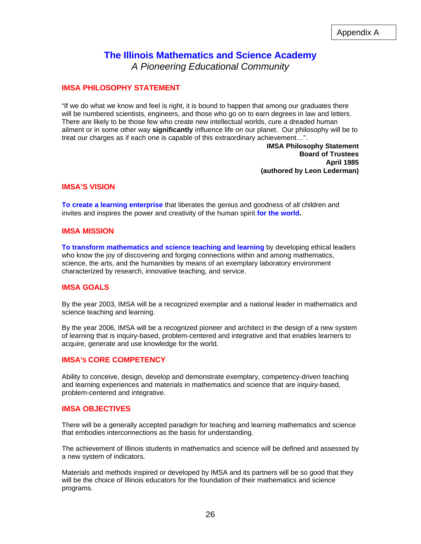### **The Illinois Mathematics and Science Academy** *A Pioneering Educational Community*

#### **IMSA PHILOSOPHY STATEMENT**

"If we do what we know and feel is right, it is bound to happen that among our graduates there will be numbered scientists, engineers, and those who go on to earn degrees in law and letters. There are likely to be those few who create new intellectual worlds, cure a dreaded human ailment or in some other way **significantly** influence life on our planet. Our philosophy will be to treat our charges as if each one is capable of this extraordinary achievement…".

> **IMSA Philosophy Statement Board of Trustees April 1985 (authored by Leon Lederman)**

#### **IMSA'S VISION**

**To create a learning enterprise** that liberates the genius and goodness of all children and invites and inspires the power and creativity of the human spirit **for the world.**

#### **IMSA MISSION**

**To transform mathematics and science teaching and learning** by developing ethical leaders who know the joy of discovering and forging connections within and among mathematics, science, the arts, and the humanities by means of an exemplary laboratory environment characterized by research, innovative teaching, and service.

#### **IMSA GOALS**

By the year 2003, IMSA will be a recognized exemplar and a national leader in mathematics and science teaching and learning.

By the year 2006, IMSA will be a recognized pioneer and architect in the design of a new system of learning that is inquiry-based, problem-centered and integrative and that enables learners to acquire, generate and use knowledge for the world.

#### **IMSA'S CORE COMPETENCY**

Ability to conceive, design, develop and demonstrate exemplary, competency-driven teaching and learning experiences and materials in mathematics and science that are inquiry-based, problem-centered and integrative.

#### **IMSA OBJECTIVES**

There will be a generally accepted paradigm for teaching and learning mathematics and science that embodies interconnections as the basis for understanding.

The achievement of Illinois students in mathematics and science will be defined and assessed by a new system of indicators.

Materials and methods inspired or developed by IMSA and its partners will be so good that they will be the choice of Illinois educators for the foundation of their mathematics and science programs.